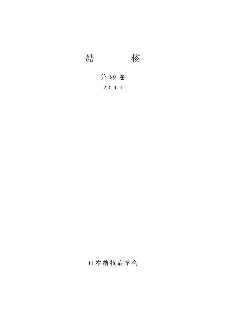結 核

第 89 巻

2014

日本結核病学会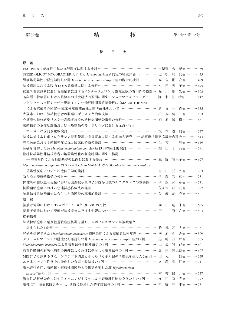| 第89卷 | 結 | 第1号~第12号 |
|------|---|----------|
|      |   |          |

**総 目 次**

### **原 著**

| FDG-PET/CTが施行された抗酸菌症に関する検討 ………………………………………… 宇留賀                           |            | 公                 | 紀他 ……… 39      |  |
|---------------------------------------------------------------------------|------------|-------------------|----------------|--|
| SPEED-OLIGO® MYCOBACTERIAによる Mycobacterium 属同定の精度評価 …………… 近               | 松          | 絹                 | 代他 ……… 45      |  |
| 胃液培養陽性で暫定診断した肺 Mycobacterium avium complex症の臨床的検討 ………… 高                  | 佐          | 顕                 | 之他 ……… 489     |  |
| 結核病床における院内 DOTS業務量に関する分析…………………………………………… 永                               | 田          | 容                 | 子他 ……… 495     |  |
| 接触者健康診断における高齢者に対するインターフェロン-y遊離試験の有用性の検討… 瀬                                | 戸          | 順                 | 次他 ……… 503     |  |
| 若年層~壮年層における結核死の社会経済的要因に関するシステマティックレビュー … 河                                | 津          | 里                 | 沙他 ……… 547     |  |
| マトリックス支援レーザー脱離イオン化飛行時間型質量分析法 (MALDI-TOF MS)                               |            |                   |                |  |
| による抗酸菌の同定–臨床分離抗酸菌株と基準菌株を用いて ………………………… 新                                  | 妻          | $\longrightarrow$ | 直他 ……… 555     |  |
| 大阪市における肺結核患者の服薬中断リスクと治療成績…………………………………… 松                                 | 本          |                   | 健 二他 ……… 593   |  |
| 介護職の結核感染リスク–高齢者施設の結核集団感染事例の分析………………………… 柳                                 | 原          | 博                 | 樹 ………… 631     |  |
| 肺結核症の重症度評価および治療効果のモニタリングにおける血液バイオ                                         |            |                   |                |  |
| マーカーの前向き比較検討…………………………………………………………………… 榎 本 泰                              |            |                   | 典他 ……… 637     |  |
| 結核に対するレボフロキサシン長期使用の有害事象に関する前向き研究 …… 結核療法研究協議会内科会 ………… 643                 |            |                   |                |  |
| 在宅医療における結核発症状況と臨床的特徴の検討………………………………………… 生                                 | 方          |                   | 智他 ……… 649     |  |
| 肺癌を合併した肺 Mycobacterium avium complex症13例の臨床的検討 …………………… 細                 | H          | 千                 | 晶他 ……… 691     |  |
| 塗抹持続陽性肺結核患者の培養陰性化の判定時期に関する検討                                              |            |                   |                |  |
| - 培養陰性による退院基準の見直しに関する提言 ……………………………………… 森                                 | 野          |                   | 英里子他 ……… 697   |  |
| Mycobacterium lentiflavumのコバス TaqMan MAIにおける Mycobacterium intracellulare |            |                   |                |  |
| 偽陽性反応についての遺伝子学的検討……………………………………………………… 富                                  | 田          | 元                 | 久他 ……… 703     |  |
| 新たな治療成績指標の検討………………………………………………………………………… 伊                                | 藤          | 邦                 | 彦 ………… 731     |  |
| 保健所の結核患者支援における薬剤投与量および投与日数のモニタリングの重要性…… 伊                                 | 藤          | 邦                 | 彦他 ……… 771     |  |
| 抗酸菌治療薬における急速減感作療法の経験………………………………………………… 佐々木                               |            | 結                 | 花他 ……… 797     |  |
| 肺非結核性抗酸菌症に合併した胸膜炎の臨床的検討…………………………………………… 佐                                | 渡          | 紀                 | 克他 ……… 821     |  |
| 報<br>短                                                                    |            |                   |                |  |
| 接触者健診における T-スポット®. TBと QFT-3Gの比較 …………………………………… 向                         | Ш          | 晴                 | 子他 ……… 655     |  |
| 接触者健診において喫煙が結核感染に及ぼす影響について………………………………… 田                                 | Ш          | 斉                 | 之他 ……… 803     |  |
| 症例報告                                                                      |            |                   |                |  |
| 肺結核治療中に薬剤性過敏症症候群を呈し、レボフロキサシンが被疑薬と                                         |            |                   |                |  |
| 考えられた1症例 ………………………………………………………………………………… 勝                                | 部          |                   | 乙 大他 ……… 51    |  |
| 経過を追跡できた Mycobacterium kyorinense 肺感染症による高齢者致死症例 …………… 榊                  |            |                   | 原 ゆ み他 ……… 509 |  |
| クラリスロマイシンの耐性化を確認した肺 Mycobacterium avium complex症の2例……… 黒 崎 裕一郎他 ……… 565   |            |                   |                |  |
| Mycobacterium branderiによる肺非結核性抗酸菌症の1例…………………………………… 山 添                   |            |                   | 雅 己他 ……… 601   |  |
| 潜在性膿胸の石灰化病変の破綻により急速に進展した胸囲結核の1例 …………………… 赤                                | 田          |                   | 憲太朗他 ……… 607   |  |
| MRIにより診断されたイソニアジド関連と考えられる手の腱鞘滑膜炎を生じた2症例… 山 元                              |            |                   | 佳他 ……… 659     |  |
| エタネルセプト投与中に発症した食道・腸結核の1例 ………………………………………… 穴 澤 梨 江他 ………711                 |            |                   |                |  |
| 胸水貯留を伴い肺結核・結核性胸膜炎との鑑別を要した肺 Mycobacterium                                  |            |                   |                |  |
| kansasii症の1例 ……………………………………………………………………………… 木 村                           |            | 陽                 | 介他 ……… 737     |  |
| 潜在性結核感染症に対するイソニアジド投与により好酸球性肺炎をきたした1例………梅                                  | $\boxplus$ | 喜                 | 亮他 ……… 777     |  |
| 胸部 CT上腫瘤状陰影を呈し, 診断に難渋した若年肺結核の1例 ………………………… 西 野 亮 平他 ………781                |            |                   |                |  |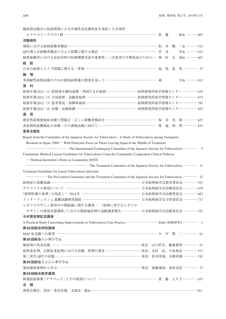肺結核治療中に抗結核薬による中毒性表皮壊死症を発症した全身性 エリテマトーデスの1例 ……………………………………………………………………… 佐 藤 祐他 ……… 807 **活動報告** 病院における結核接触者健診………………………………………………………………………… 松 本 健 二他 ……… 515 OFT 導入が接触者健診に与えた影響に関する検討 …………………………………………………… 笠 井 幸他 ……… 613 結核接触者における有症状時の医療機関受診の重要性─二次患者の早期発見のために… 西 村 正 道他 ……… 667 **総 説** 日本の結核とエイズ問題に関する一考察……………………………………………………… 島 尾 忠 男 ………… 57 **論 壇** 多剤耐性結核治療のための新抗結核薬の使用を巡って…………………………………………… 森 宇他 ……… 813 **資 料** 結核年報2012(1)結核発生動向速報・外国生まれ結核 ……………………… 結核研究所疫学情報センター ………… 619 結核年報2012 (2) 小児結核・高齢者結核 ……………………………………… 結核研究所疫学情報センター ………… 673 結核年報2012 (3) 患者発見・診断時病状 …………………………………… 結核研究所疫学情報センター ………… 787 結核年報2012 (4) 治療・治療成績 ……………………………………………… 結核研究所疫学情報センター ………… 825 **通 信** 潜在性結核感染症治療と問題点:正しい接触者検診を……………………………………… 坂 谷 光 則 ………… 627 非結核性抗酸菌症の治療––その課題克服に向けて………………………………………………… 菊 地 利 明 ………… 835 **委員会報告** Report from the Committee of the Japanese Society for Tuberculosis : A Study of Tuberculosis among Foreigners Resident in Japan, 2008— With Particular Focus on Those Leaving Japan in the Middle of Treatment ………………………………… The International Exchanging Committee of the Japanese Society for Tuberculosis ………… 5 Community Medical Liaison Guidelines for Tuberculosis Using the Community Cooperation Clinical Pathway ─ Medical Institution's Roles in Community DOTS ………………………………………………… The Treatment Committee of the Japanese Society for Tuberculosis ………… 13 Treatment Guidelines for Latent Tuberculosis Infection ……………… The Prevention Committee and the Treatment Committee of the Japanese Society for Tuberculosis ………… 21 結核症の基礎知識 …………………………………………………………………… 日本結核病学会教育委員会 ………… 521 デラマニドの使用について ………………………………………………………… 日本結核病学会治療委員会 ………… 679 「結核医療の基準」の見直し––2014年 …………………………………………… 日本結核病学会治療委員会 ………… 683 インターフェロンγ遊離試験使用指針 …………………………………………… 日本結核病学会予防委員会 ………… 717 レボフロキサシン使用中の関節痛に関する調査 ―「結核に対するレボフロ キサシンの使用実態調査」における関節痛症例の追跡調査報告 ……………… 日本結核病学会治療委員会 ………… 727 **今村賞受賞記念講演** A Practical Study Concerning Improvements to Tuberculosis Care Practice ……………………… Eriko SHIGETO ………… 1 **第 88回総会特別講演** MAC症克服への展望 …………………………………………………………………………… 小 川 賢 二 ………… 61 **第 88回総会シンポジウム** 肺結核の外来治療 …………………………………………………………………… 座長:山口哲生,藤兼俊明 ………… 67 結核重症例,合併症重症例における治療,管理の進歩 ………………………… 座長:木村 弘,今泉和良 ………… 571 第三世代 OFTの評価 ……………………………………………………………… 座長:松本智成, 山﨑利雄 ………… 743 **第 88回総会ミニシンポジウム** 集団感染事例から学ぶ ……………………………………………………………… 座長:加藤誠也,桑原克弘 ………… 77 **第 89回総会教育講演** 新規抗結核薬 「デラマニド」とその使用について …………………………………………… 重 藤 えり子 ………… 837 **会 報** 理事会報告, 役員・委員名簿, 支部長一覧他 ………………………………………………………………… 761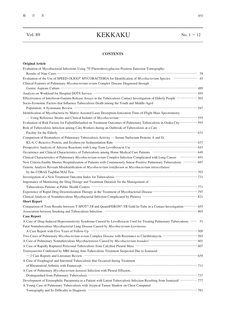# Vol. 89 KEKKAKU No. 1 <sup>~</sup><sup>12</sup>

## **CONTENTS**

| Evaluation of Mycobacterial Infections Using <sup>18</sup> F-Fluorodeoxyglucose-Positron Emission Tomography:                                                                                                                  |
|--------------------------------------------------------------------------------------------------------------------------------------------------------------------------------------------------------------------------------|
|                                                                                                                                                                                                                                |
|                                                                                                                                                                                                                                |
| Clinical Features of Pulmonary Mycobacterium avium Complex Disease Diagnosed through                                                                                                                                           |
|                                                                                                                                                                                                                                |
|                                                                                                                                                                                                                                |
| Effectiveness of Interferon-Gamma Release Assays in the Tuberculosis Contact Investigation of Elderly People ················ 503                                                                                              |
| Socio-Economic Factors that Influence Tuberculosis Death among the Youth and Middle-Aged                                                                                                                                       |
|                                                                                                                                                                                                                                |
| Identification of Mycobacteria by Matrix-Assisted Laser Desorption-Ionization Time-of-Flight Mass Spectrometry                                                                                                                 |
| - Using Reference Strains and Clinical Isolates of Mycobacterium material control and the S55                                                                                                                                  |
| Evaluation of Risk Factors for Failed/Defaulted on Treatment Outcomes of Pulmonary Tuberculosis in Osaka City ············· 593                                                                                                |
| Risk of Tuberculosis Infection among Care Workers during an Outbreak of Tuberculosis at a Care                                                                                                                                 |
| Facility for the Elderly (and according to the Elderly of the Elderly of the Elderly of the Elderly of the Elderly of the Elderly of the Elderly of the Elderly of the Elderly of the Elderly of the Elderly of the Elderly of |
| Comparison of Biomarkers of Pulmonary Tuberculosis Activity - Serum Surfactant Proteins A and D,                                                                                                                               |
|                                                                                                                                                                                                                                |
|                                                                                                                                                                                                                                |
|                                                                                                                                                                                                                                |
|                                                                                                                                                                                                                                |
| New Criteria Enable Shorter Hospitalization of Patients with Continuously Smear-Positive Pulmonary Tuberculosis  697                                                                                                           |
| Genetic Analysis Reveals Misidentification of Mycobacterium lentiflavum as Mycobacterium intracellulare                                                                                                                        |
|                                                                                                                                                                                                                                |
|                                                                                                                                                                                                                                |
| Importance of Monitoring the Drug Dosage and Treatment Duration for the Management of                                                                                                                                          |
|                                                                                                                                                                                                                                |
|                                                                                                                                                                                                                                |
|                                                                                                                                                                                                                                |
| <b>Short Report</b>                                                                                                                                                                                                            |
| Comparison of Tests Results between T-SPOT®.TB and QuantiFERON®-TB Gold In-Tube in a Contact Investigation  655                                                                                                                |
| Association between Smoking and Tuberculosis Infection (2003) (2006) (2006) (2006) (3006) (3006) (3006) (3006)                                                                                                                 |
| <b>Case Report</b>                                                                                                                                                                                                             |
| A Case of Drug-Induced Hypersensitivity Syndrome Caused by Levofloxacin Used for Treating Pulmonary Tuberculosis  51                                                                                                           |
| Fatal Nontuberculous Mycobacterial Lung Disease Caused by Mycobacterium kyorinense:                                                                                                                                            |
|                                                                                                                                                                                                                                |
| Two Cases of Pulmonary Mycobacterium avium Complex Disease with Resistance to Clarithromycin ························· 565                                                                                                     |
|                                                                                                                                                                                                                                |
|                                                                                                                                                                                                                                |
| Tenosynovitis Confirmed by MRI during Anti-Tuberculous Treatment Suspected Due to Isoniazid                                                                                                                                    |
|                                                                                                                                                                                                                                |
| A Case of Esophageal and Intestinal Tuberculosis that Occurred during Treatment                                                                                                                                                |
|                                                                                                                                                                                                                                |
| A Case of Pulmonary Mycobacterium kansasii Infection with Pleural Effusion,                                                                                                                                                    |
|                                                                                                                                                                                                                                |
| Development of Eosinophilic Pneumonia in a Patient with Latent Tuberculosis Infection Resulting from Isoniazid ············· 777                                                                                               |
| A Young Case of Pulmonary Tuberculosis with Atypical Tumor Shadow on Chest Computed                                                                                                                                            |
| Tomography and Its Difficulty in Diagnosis manufactured and annual control of the Difficulty in Diagnosis manufactured and all the Difficulty of the Difficulty in Diagnosis manufactured and all the Difficulty of the Diffic |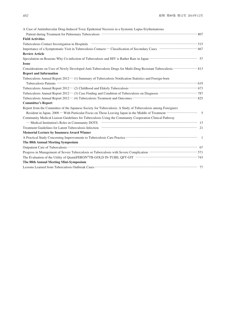| A Case of Antitubercular Drug-Induced Toxic Epidermal Necrosis in a Systemic Lupus Erythematosus                                                                                                                               |
|--------------------------------------------------------------------------------------------------------------------------------------------------------------------------------------------------------------------------------|
|                                                                                                                                                                                                                                |
| <b>Field Activities</b>                                                                                                                                                                                                        |
|                                                                                                                                                                                                                                |
|                                                                                                                                                                                                                                |
| <b>Review Article</b>                                                                                                                                                                                                          |
|                                                                                                                                                                                                                                |
| <b>Issue</b>                                                                                                                                                                                                                   |
| Considerations on Uses of Newly Developed Anti-Tuberculosis Drugs for Multi-Drug Resistant Tuberculosis ·················· 813                                                                                                 |
| <b>Report and Information</b>                                                                                                                                                                                                  |
| Tuberculosis Annual Report 2012 - (1) Summary of Tuberculosis Notification Statistics and Foreign-born                                                                                                                         |
| Tuberculosis Patients (1994) and the contract of the contract of the contract of the contract of the contract of the contract of the contract of the contract of the contract of the contract of the contract of the contract  |
|                                                                                                                                                                                                                                |
| Tuberculosis Annual Report 2012 - (3) Case Finding and Condition of Tuberculosis on Diagnosis ······························· 787                                                                                              |
|                                                                                                                                                                                                                                |
| <b>Committee's Report</b>                                                                                                                                                                                                      |
| Report from the Committee of the Japanese Society for Tuberculosis: A Study of Tuberculosis among Foreigners                                                                                                                   |
| Resident in Japan, 2008 – With Particular Focus on Those Leaving Japan in the Middle of Treatment ························ 5                                                                                                   |
| Community Medical Liaison Guidelines for Tuberculosis Using the Community Cooperation Clinical Pathway                                                                                                                         |
|                                                                                                                                                                                                                                |
| Treatment Guidelines for Latent Tuberculosis Infection (1999) and the content of the content of the content of the content of the content of the content of the content of the content of the content of the content of the co |
| <b>Memorial Lecture by Imamura Award Winner</b>                                                                                                                                                                                |
|                                                                                                                                                                                                                                |
| The 88th Annual Meeting Symposium                                                                                                                                                                                              |
|                                                                                                                                                                                                                                |
|                                                                                                                                                                                                                                |
|                                                                                                                                                                                                                                |
| The 88th Annual Meeting Mini-Symposium                                                                                                                                                                                         |
|                                                                                                                                                                                                                                |